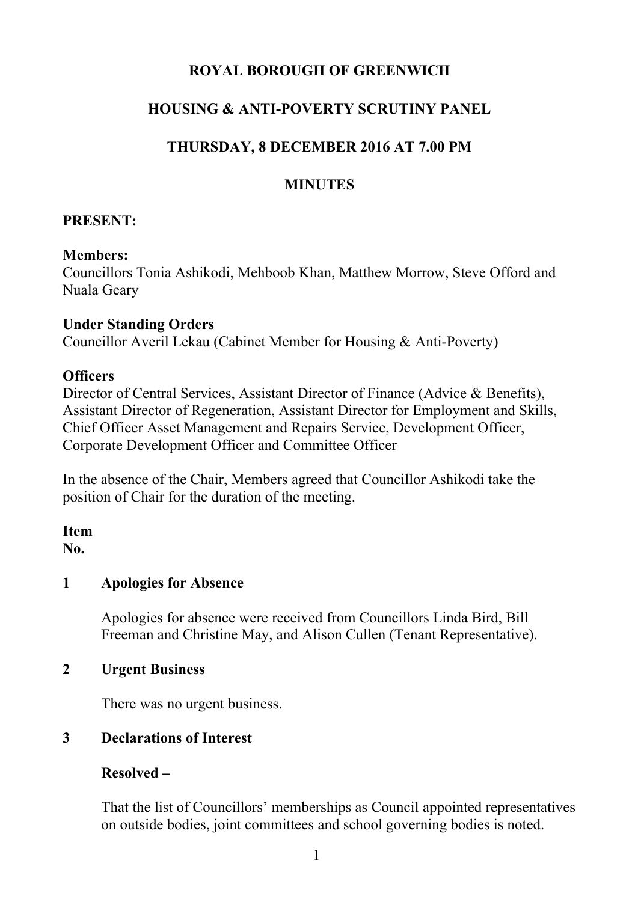# **ROYAL BOROUGH OF GREENWICH**

## **HOUSING & ANTI-POVERTY SCRUTINY PANEL**

## **THURSDAY, 8 DECEMBER 2016 AT 7.00 PM**

## **MINUTES**

### **PRESENT:**

#### **Members:**

Councillors Tonia Ashikodi, Mehboob Khan, Matthew Morrow, Steve Offord and Nuala Geary

#### **Under Standing Orders**

Councillor Averil Lekau (Cabinet Member for Housing & Anti-Poverty)

### **Officers**

Director of Central Services, Assistant Director of Finance (Advice & Benefits), Assistant Director of Regeneration, Assistant Director for Employment and Skills, Chief Officer Asset Management and Repairs Service, Development Officer, Corporate Development Officer and Committee Officer

In the absence of the Chair, Members agreed that Councillor Ashikodi take the position of Chair for the duration of the meeting.

**Item No.**

## **1 Apologies for Absence**

Apologies for absence were received from Councillors Linda Bird, Bill Freeman and Christine May, and Alison Cullen (Tenant Representative).

### **2 Urgent Business**

There was no urgent business.

### **3 Declarations of Interest**

### **Resolved –**

That the list of Councillors' memberships as Council appointed representatives on outside bodies, joint committees and school governing bodies is noted.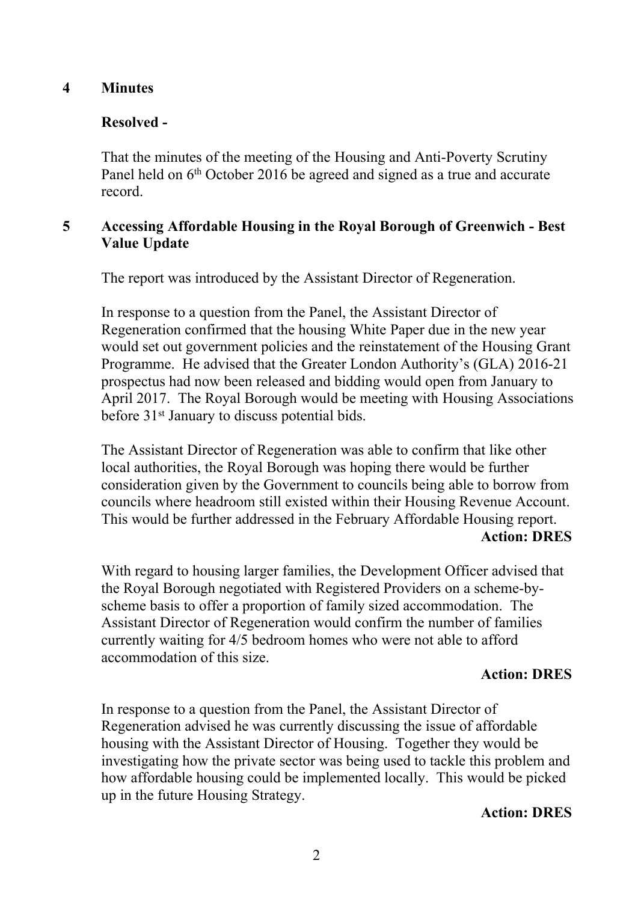#### **4 Minutes**

## **Resolved -**

That the minutes of the meeting of the Housing and Anti-Poverty Scrutiny Panel held on 6<sup>th</sup> October 2016 be agreed and signed as a true and accurate record.

### **5 Accessing Affordable Housing in the Royal Borough of Greenwich - Best Value Update**

The report was introduced by the Assistant Director of Regeneration.

In response to a question from the Panel, the Assistant Director of Regeneration confirmed that the housing White Paper due in the new year would set out government policies and the reinstatement of the Housing Grant Programme. He advised that the Greater London Authority's (GLA) 2016-21 prospectus had now been released and bidding would open from January to April 2017. The Royal Borough would be meeting with Housing Associations before 31st January to discuss potential bids.

The Assistant Director of Regeneration was able to confirm that like other local authorities, the Royal Borough was hoping there would be further consideration given by the Government to councils being able to borrow from councils where headroom still existed within their Housing Revenue Account. This would be further addressed in the February Affordable Housing report. **Action: DRES**

With regard to housing larger families, the Development Officer advised that the Royal Borough negotiated with Registered Providers on a scheme-byscheme basis to offer a proportion of family sized accommodation. The Assistant Director of Regeneration would confirm the number of families currently waiting for 4/5 bedroom homes who were not able to afford accommodation of this size.

#### **Action: DRES**

In response to a question from the Panel, the Assistant Director of Regeneration advised he was currently discussing the issue of affordable housing with the Assistant Director of Housing. Together they would be investigating how the private sector was being used to tackle this problem and how affordable housing could be implemented locally. This would be picked up in the future Housing Strategy.

#### **Action: DRES**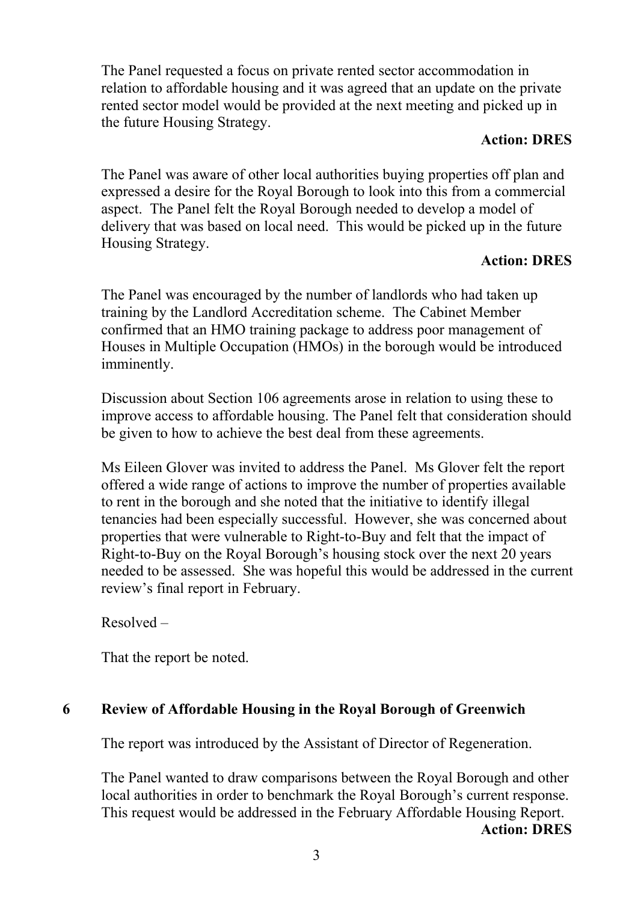The Panel requested a focus on private rented sector accommodation in relation to affordable housing and it was agreed that an update on the private rented sector model would be provided at the next meeting and picked up in the future Housing Strategy.

#### **Action: DRES**

The Panel was aware of other local authorities buying properties off plan and expressed a desire for the Royal Borough to look into this from a commercial aspect. The Panel felt the Royal Borough needed to develop a model of delivery that was based on local need. This would be picked up in the future Housing Strategy.

### **Action: DRES**

The Panel was encouraged by the number of landlords who had taken up training by the Landlord Accreditation scheme. The Cabinet Member confirmed that an HMO training package to address poor management of Houses in Multiple Occupation (HMOs) in the borough would be introduced imminently.

Discussion about Section 106 agreements arose in relation to using these to improve access to affordable housing. The Panel felt that consideration should be given to how to achieve the best deal from these agreements.

Ms Eileen Glover was invited to address the Panel. Ms Glover felt the report offered a wide range of actions to improve the number of properties available to rent in the borough and she noted that the initiative to identify illegal tenancies had been especially successful. However, she was concerned about properties that were vulnerable to Right-to-Buy and felt that the impact of Right-to-Buy on the Royal Borough's housing stock over the next 20 years needed to be assessed. She was hopeful this would be addressed in the current review's final report in February.

Resolved –

That the report be noted.

### **6 Review of Affordable Housing in the Royal Borough of Greenwich**

The report was introduced by the Assistant of Director of Regeneration.

The Panel wanted to draw comparisons between the Royal Borough and other local authorities in order to benchmark the Royal Borough's current response. This request would be addressed in the February Affordable Housing Report. **Action: DRES**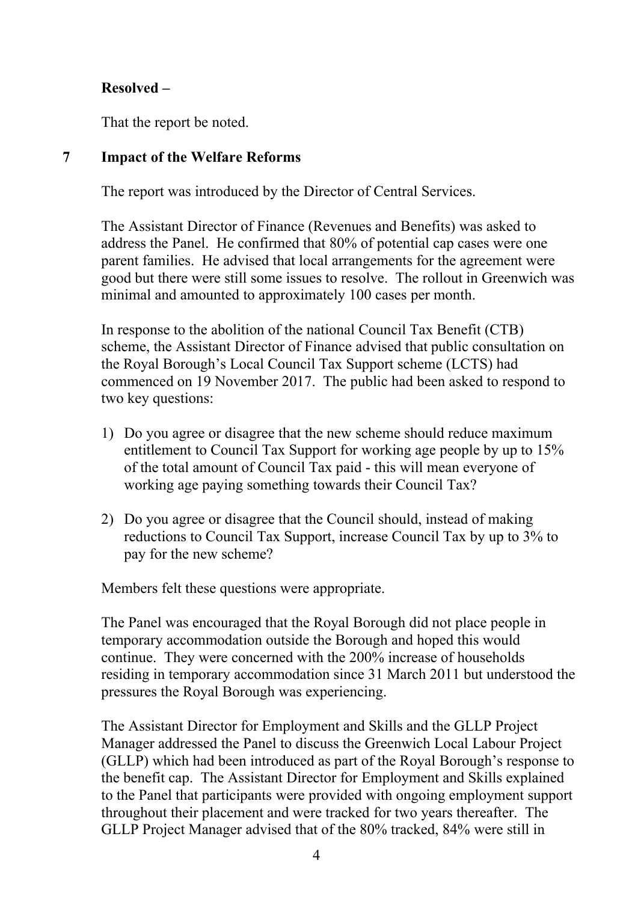# **Resolved –**

That the report be noted.

### **7 Impact of the Welfare Reforms**

The report was introduced by the Director of Central Services.

The Assistant Director of Finance (Revenues and Benefits) was asked to address the Panel. He confirmed that 80% of potential cap cases were one parent families. He advised that local arrangements for the agreement were good but there were still some issues to resolve. The rollout in Greenwich was minimal and amounted to approximately 100 cases per month.

In response to the abolition of the national Council Tax Benefit (CTB) scheme, the Assistant Director of Finance advised that public consultation on the Royal Borough's Local Council Tax Support scheme (LCTS) had commenced on 19 November 2017. The public had been asked to respond to two key questions:

- 1) Do you agree or disagree that the new scheme should reduce maximum entitlement to Council Tax Support for working age people by up to 15% of the total amount of Council Tax paid - this will mean everyone of working age paying something towards their Council Tax?
- 2) Do you agree or disagree that the Council should, instead of making reductions to Council Tax Support, increase Council Tax by up to 3% to pay for the new scheme?

Members felt these questions were appropriate.

The Panel was encouraged that the Royal Borough did not place people in temporary accommodation outside the Borough and hoped this would continue. They were concerned with the 200% increase of households residing in temporary accommodation since 31 March 2011 but understood the pressures the Royal Borough was experiencing.

The Assistant Director for Employment and Skills and the GLLP Project Manager addressed the Panel to discuss the Greenwich Local Labour Project (GLLP) which had been introduced as part of the Royal Borough's response to the benefit cap. The Assistant Director for Employment and Skills explained to the Panel that participants were provided with ongoing employment support throughout their placement and were tracked for two years thereafter. The GLLP Project Manager advised that of the 80% tracked, 84% were still in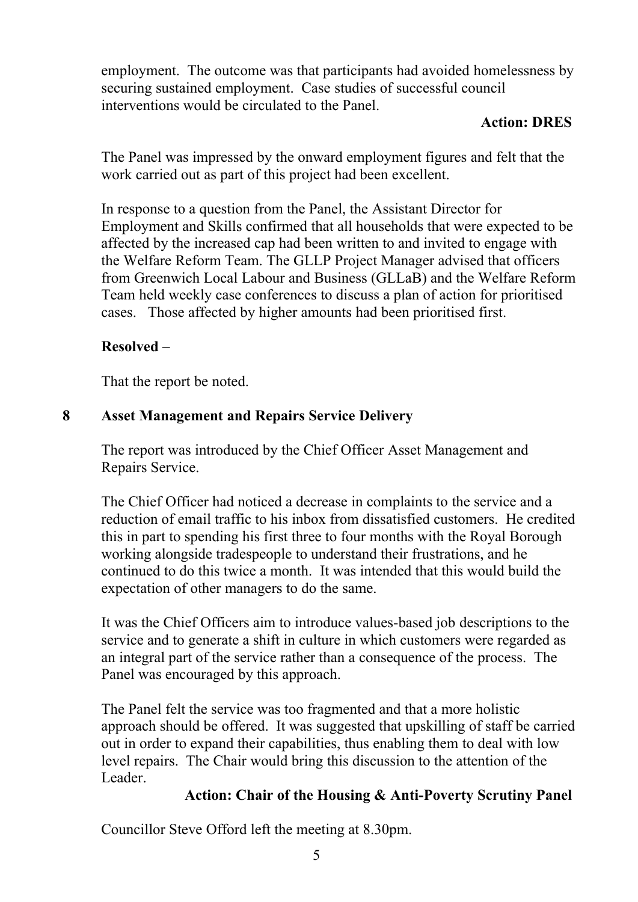employment. The outcome was that participants had avoided homelessness by securing sustained employment. Case studies of successful council interventions would be circulated to the Panel.

### **Action: DRES**

The Panel was impressed by the onward employment figures and felt that the work carried out as part of this project had been excellent.

In response to a question from the Panel, the Assistant Director for Employment and Skills confirmed that all households that were expected to be affected by the increased cap had been written to and invited to engage with the Welfare Reform Team. The GLLP Project Manager advised that officers from Greenwich Local Labour and Business (GLLaB) and the Welfare Reform Team held weekly case conferences to discuss a plan of action for prioritised cases. Those affected by higher amounts had been prioritised first.

# **Resolved –**

That the report be noted.

# **8 Asset Management and Repairs Service Delivery**

The report was introduced by the Chief Officer Asset Management and Repairs Service.

The Chief Officer had noticed a decrease in complaints to the service and a reduction of email traffic to his inbox from dissatisfied customers. He credited this in part to spending his first three to four months with the Royal Borough working alongside tradespeople to understand their frustrations, and he continued to do this twice a month. It was intended that this would build the expectation of other managers to do the same.

It was the Chief Officers aim to introduce values-based job descriptions to the service and to generate a shift in culture in which customers were regarded as an integral part of the service rather than a consequence of the process. The Panel was encouraged by this approach.

The Panel felt the service was too fragmented and that a more holistic approach should be offered. It was suggested that upskilling of staff be carried out in order to expand their capabilities, thus enabling them to deal with low level repairs. The Chair would bring this discussion to the attention of the Leader.

### **Action: Chair of the Housing & Anti-Poverty Scrutiny Panel**

Councillor Steve Offord left the meeting at 8.30pm.